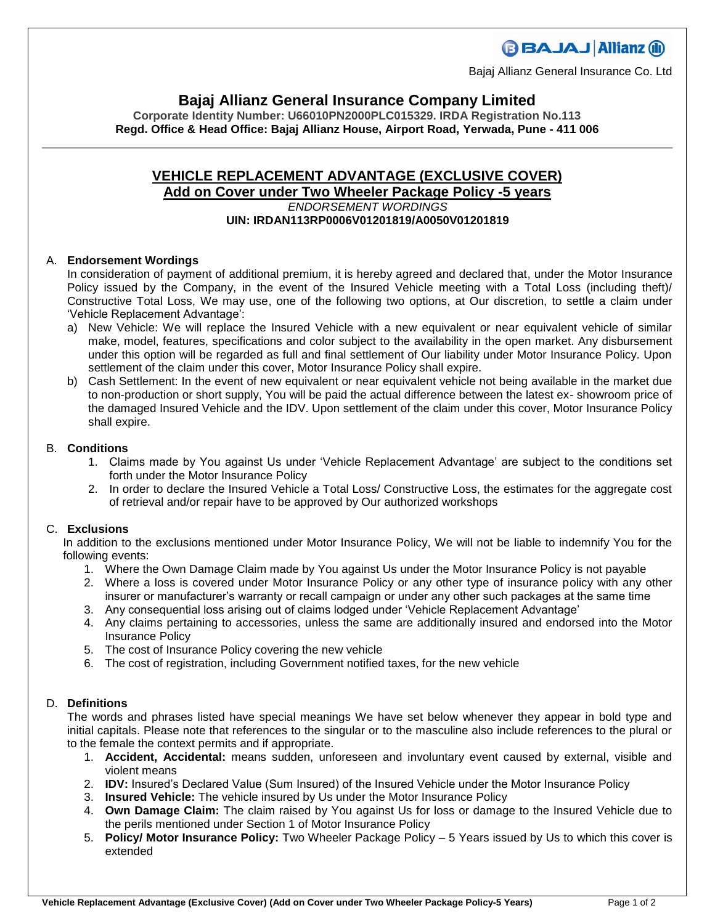## **BBAJAJ Allianz (ii)**

Bajaj Allianz General Insurance Co. Ltd

### **Bajaj Allianz General Insurance Company Limited**

**Corporate Identity Number: U66010PN2000PLC015329. IRDA Registration No.113 Regd. Office & Head Office: Bajaj Allianz House, Airport Road, Yerwada, Pune - 411 006**

# **VEHICLE REPLACEMENT ADVANTAGE (EXCLUSIVE COVER)**

#### **Add on Cover under Two Wheeler Package Policy -5 years** *ENDORSEMENT WORDINGS* **UIN: IRDAN113RP0006V01201819/A0050V01201819**

#### A. **Endorsement Wordings**

In consideration of payment of additional premium, it is hereby agreed and declared that, under the Motor Insurance Policy issued by the Company, in the event of the Insured Vehicle meeting with a Total Loss (including theft)/ Constructive Total Loss, We may use, one of the following two options, at Our discretion, to settle a claim under 'Vehicle Replacement Advantage':

- a) New Vehicle: We will replace the Insured Vehicle with a new equivalent or near equivalent vehicle of similar make, model, features, specifications and color subject to the availability in the open market. Any disbursement under this option will be regarded as full and final settlement of Our liability under Motor Insurance Policy. Upon settlement of the claim under this cover, Motor Insurance Policy shall expire.
- b) Cash Settlement: In the event of new equivalent or near equivalent vehicle not being available in the market due to non-production or short supply, You will be paid the actual difference between the latest ex- showroom price of the damaged Insured Vehicle and the IDV. Upon settlement of the claim under this cover, Motor Insurance Policy shall expire.

#### B. **Conditions**

- 1. Claims made by You against Us under 'Vehicle Replacement Advantage' are subject to the conditions set forth under the Motor Insurance Policy
- 2. In order to declare the Insured Vehicle a Total Loss/ Constructive Loss, the estimates for the aggregate cost of retrieval and/or repair have to be approved by Our authorized workshops

#### C. **Exclusions**

In addition to the exclusions mentioned under Motor Insurance Policy, We will not be liable to indemnify You for the following events:

- 1. Where the Own Damage Claim made by You against Us under the Motor Insurance Policy is not payable
- 2. Where a loss is covered under Motor Insurance Policy or any other type of insurance policy with any other insurer or manufacturer's warranty or recall campaign or under any other such packages at the same time
- 3. Any consequential loss arising out of claims lodged under 'Vehicle Replacement Advantage'
- 4. Any claims pertaining to accessories, unless the same are additionally insured and endorsed into the Motor Insurance Policy
- 5. The cost of Insurance Policy covering the new vehicle
- 6. The cost of registration, including Government notified taxes, for the new vehicle

### D. **Definitions**

The words and phrases listed have special meanings We have set below whenever they appear in bold type and initial capitals. Please note that references to the singular or to the masculine also include references to the plural or to the female the context permits and if appropriate.

- 1. **Accident, Accidental:** means sudden, unforeseen and involuntary event caused by external, visible and violent means
- 2. **IDV:** Insured's Declared Value (Sum Insured) of the Insured Vehicle under the Motor Insurance Policy
- 3. **Insured Vehicle:** The vehicle insured by Us under the Motor Insurance Policy
- 4. **Own Damage Claim:** The claim raised by You against Us for loss or damage to the Insured Vehicle due to the perils mentioned under Section 1 of Motor Insurance Policy
- 5. **Policy/ Motor Insurance Policy:** Two Wheeler Package Policy 5 Years issued by Us to which this cover is extended